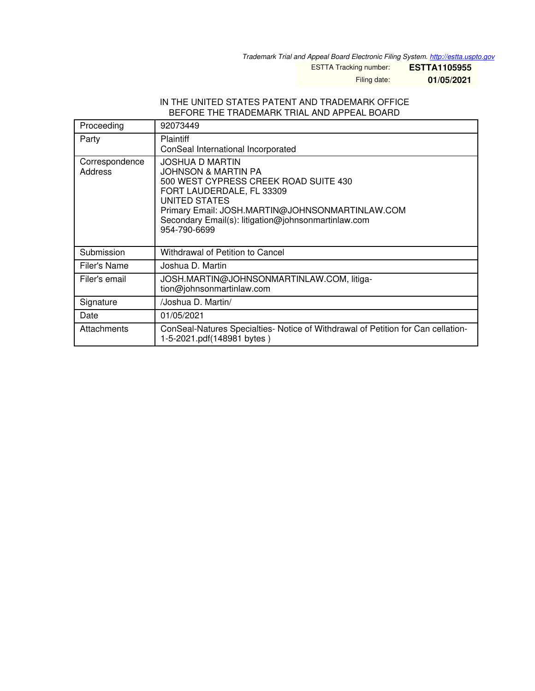*Trademark Trial and Appeal Board Electronic Filing System. <http://estta.uspto.gov>*

ESTTA Tracking number: **ESTTA1105955**

Filing date: **01/05/2021**

## IN THE UNITED STATES PATENT AND TRADEMARK OFFICE BEFORE THE TRADEMARK TRIAL AND APPEAL BOARD

| Proceeding                | 92073449                                                                                                                                                                                                                                                       |
|---------------------------|----------------------------------------------------------------------------------------------------------------------------------------------------------------------------------------------------------------------------------------------------------------|
| Party                     | Plaintiff<br>ConSeal International Incorporated                                                                                                                                                                                                                |
| Correspondence<br>Address | <b>JOSHUA D MARTIN</b><br>JOHNSON & MARTIN PA<br>500 WEST CYPRESS CREEK ROAD SUITE 430<br>FORT LAUDERDALE, FL 33309<br>UNITED STATES<br>Primary Email: JOSH.MARTIN@JOHNSONMARTINLAW.COM<br>Secondary Email(s): litigation@johnsonmartinlaw.com<br>954-790-6699 |
| Submission                | Withdrawal of Petition to Cancel                                                                                                                                                                                                                               |
| Filer's Name              | Joshua D. Martin                                                                                                                                                                                                                                               |
| Filer's email             | JOSH.MARTIN@JOHNSONMARTINLAW.COM, litiga-<br>tion@johnsonmartinlaw.com                                                                                                                                                                                         |
| Signature                 | /Joshua D. Martin/                                                                                                                                                                                                                                             |
| Date                      | 01/05/2021                                                                                                                                                                                                                                                     |
| Attachments               | ConSeal-Natures Specialties- Notice of Withdrawal of Petition for Can cellation-<br>1-5-2021.pdf(148981 bytes)                                                                                                                                                 |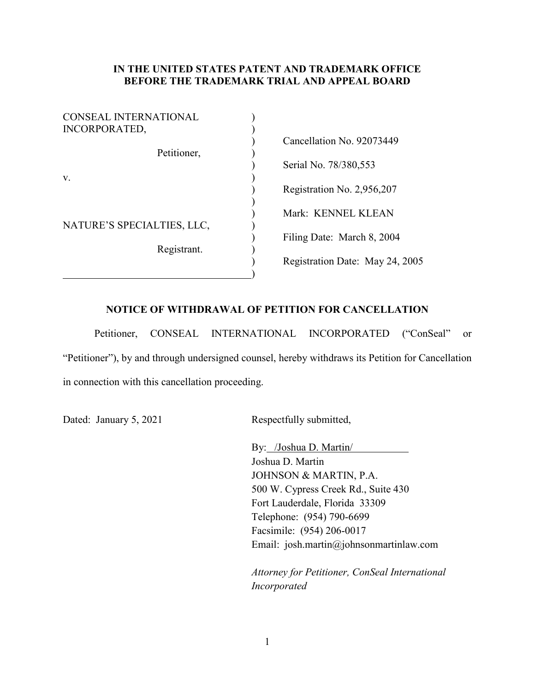## **IN THE UNITED STATES PATENT AND TRADEMARK OFFICE BEFORE THE TRADEMARK TRIAL AND APPEAL BOARD**

| <b>CONSEAL INTERNATIONAL</b><br>INCORPORATED, |                                 |
|-----------------------------------------------|---------------------------------|
|                                               | Cancellation No. 92073449       |
| Petitioner,                                   | Serial No. 78/380,553           |
| V.                                            | Registration No. 2,956,207      |
|                                               | Mark: KENNEL KLEAN              |
| NATURE'S SPECIALTIES, LLC,                    | Filing Date: March 8, 2004      |
| Registrant.                                   | Registration Date: May 24, 2005 |
|                                               |                                 |

## **NOTICE OF WITHDRAWAL OF PETITION FOR CANCELLATION**

Petitioner, CONSEAL INTERNATIONAL INCORPORATED ("ConSeal" or "Petitioner"), by and through undersigned counsel, hereby withdraws its Petition for Cancellation in connection with this cancellation proceeding.

Dated: January 5, 2021 Respectfully submitted,

By: /Joshua D. Martin/ Joshua D. Martin JOHNSON & MARTIN, P.A. 500 W. Cypress Creek Rd., Suite 430 Fort Lauderdale, Florida 33309 Telephone: (954) 790-6699 Facsimile: (954) 206-0017 Email: josh.martin@johnsonmartinlaw.com

*Attorney for Petitioner, ConSeal International Incorporated*